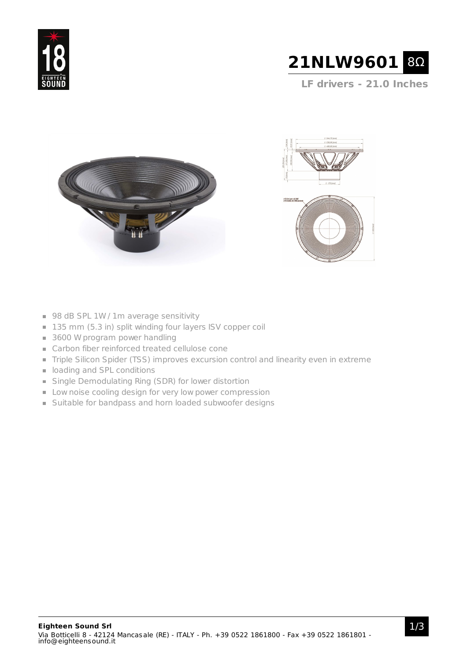



**LF drivers - 21.0 Inches**





- 98 dB SPL 1W / 1m average sensitivity
- 135 mm (5.3 in) split winding four layers ISV copper coil
- 3600 W program power handling
- Carbon fiber reinforced treated cellulose cone
- Triple Silicon Spider (TSS) improves excursion control and linearity even in extreme
- **In loading and SPL conditions**
- **Single Demodulating Ring (SDR) for lower distortion**
- **Low noise cooling design for very low power compression**
- Suitable for bandpass and horn loaded subwoofer designs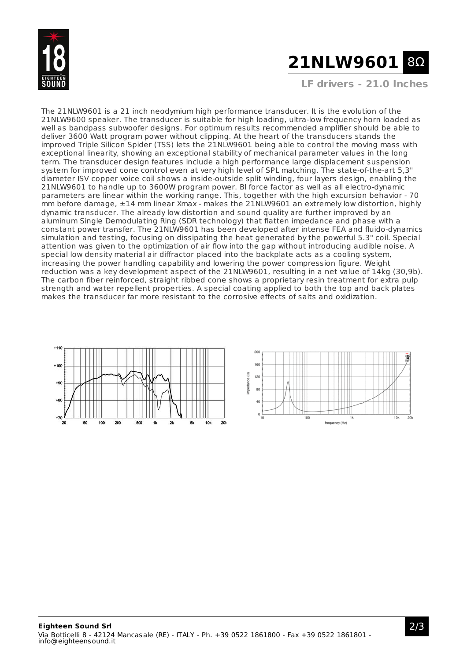

# **21NLW9601** 8Ω

**LF drivers - 21.0 Inches**

The 21NLW9601 is a 21 inch neodymium high performance transducer. It is the evolution of the 21NLW9600 speaker. The transducer is suitable for high loading, ultra-low frequency horn loaded as well as bandpass subwoofer designs. For optimum results recommended amplifier should be able to deliver 3600 Watt program power without clipping. At the heart of the transducers stands the improved Triple Silicon Spider (TSS) lets the 21NLW9601 being able to control the moving mass with exceptional linearity, showing an exceptional stability of mechanical parameter values in the long term. The transducer design features include a high performance large displacement suspension system for improved cone control even at very high level of SPL matching. The state-of-the-art 5,3" diameter ISV copper voice coil shows a inside-outside split winding, four layers design, enabling the 21NLW9601 to handle up to 3600W program power. Bl force factor as well as all electro-dynamic parameters are linear within the working range. This, together with the high excursion behavior - 70 mm before damage, ±14 mm linear Xmax - makes the 21NLW9601 an extremely low distortion, highly dynamic transducer. The already low distortion and sound quality are further improved by an aluminum Single Demodulating Ring (SDR technology) that flatten impedance and phase with a constant power transfer. The 21NLW9601 has been developed after intense FEA and fluido-dynamics simulation and testing, focusing on dissipating the heat generated by the powerful 5.3" coil. Special attention was given to the optimization of air flow into the gap without introducing audible noise. A special low density material air diffractor placed into the backplate acts as a cooling system, increasing the power handling capability and lowering the power compression figure. Weight reduction was a key development aspect of the 21NLW9601, resulting in a net value of 14kg (30,9b). The carbon fiber reinforced, straight ribbed cone shows a proprietary resin treatment for extra pulp strength and water repellent properties. A special coating applied to both the top and back plates makes the transducer far more resistant to the corrosive effects of salts and oxidization.